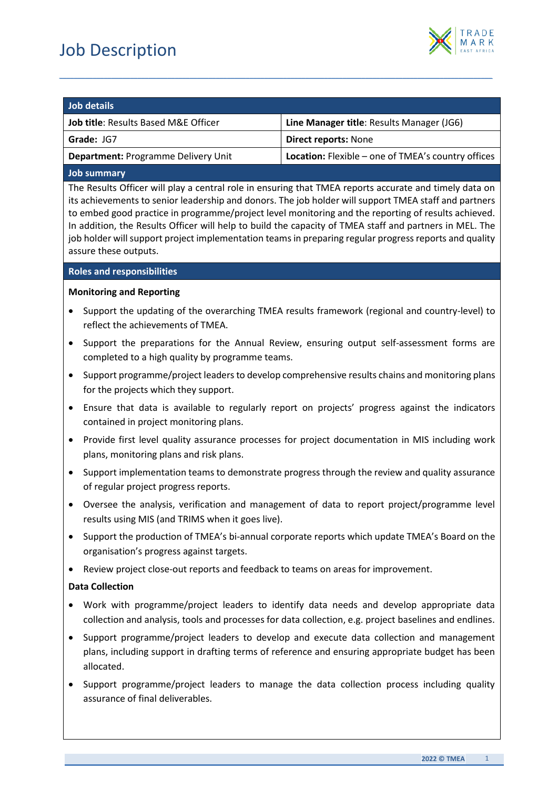

# **Job details**

| <b></b>                                         |                                                           |  |
|-------------------------------------------------|-----------------------------------------------------------|--|
| <b>Job title: Results Based M&amp;E Officer</b> | Line Manager title: Results Manager (JG6)                 |  |
| Grade: JG7                                      | <b>Direct reports: None</b>                               |  |
| <b>Department: Programme Delivery Unit</b>      | <b>Location:</b> Flexible – one of TMEA's country offices |  |
|                                                 |                                                           |  |

*\_\_\_\_\_\_\_\_\_\_\_\_\_\_\_\_\_\_\_\_\_\_\_\_\_\_\_\_\_\_\_\_\_\_\_\_\_\_\_\_\_\_\_\_\_\_\_\_\_\_\_\_\_\_\_\_\_\_\_\_\_\_\_\_\_\_\_\_\_\_\_\_\_\_\_\_\_\_\_\_\_\_\_\_\_\_\_\_\_\_\_\_\_\_\_\_\_\_\_\_\_\_\_\_\_\_\_\_\_\_\_\_\_\_\_\_*

# **Job summary**

The Results Officer will play a central role in ensuring that TMEA reports accurate and timely data on its achievements to senior leadership and donors. The job holder will support TMEA staff and partners to embed good practice in programme/project level monitoring and the reporting of results achieved. In addition, the Results Officer will help to build the capacity of TMEA staff and partners in MEL. The job holder will support project implementation teams in preparing regular progress reports and quality assure these outputs.

## **Roles and responsibilities**

# **Monitoring and Reporting**

- Support the updating of the overarching TMEA results framework (regional and country-level) to reflect the achievements of TMEA.
- Support the preparations for the Annual Review, ensuring output self-assessment forms are completed to a high quality by programme teams.
- Support programme/project leaders to develop comprehensive results chains and monitoring plans for the projects which they support.
- Ensure that data is available to regularly report on projects' progress against the indicators contained in project monitoring plans.
- Provide first level quality assurance processes for project documentation in MIS including work plans, monitoring plans and risk plans.
- Support implementation teams to demonstrate progress through the review and quality assurance of regular project progress reports.
- Oversee the analysis, verification and management of data to report project/programme level results using MIS (and TRIMS when it goes live).
- Support the production of TMEA's bi-annual corporate reports which update TMEA's Board on the organisation's progress against targets.
- Review project close-out reports and feedback to teams on areas for improvement.

# **Data Collection**

- Work with programme/project leaders to identify data needs and develop appropriate data collection and analysis, tools and processes for data collection, e.g. project baselines and endlines.
- Support programme/project leaders to develop and execute data collection and management plans, including support in drafting terms of reference and ensuring appropriate budget has been allocated.
- Support programme/project leaders to manage the data collection process including quality assurance of final deliverables.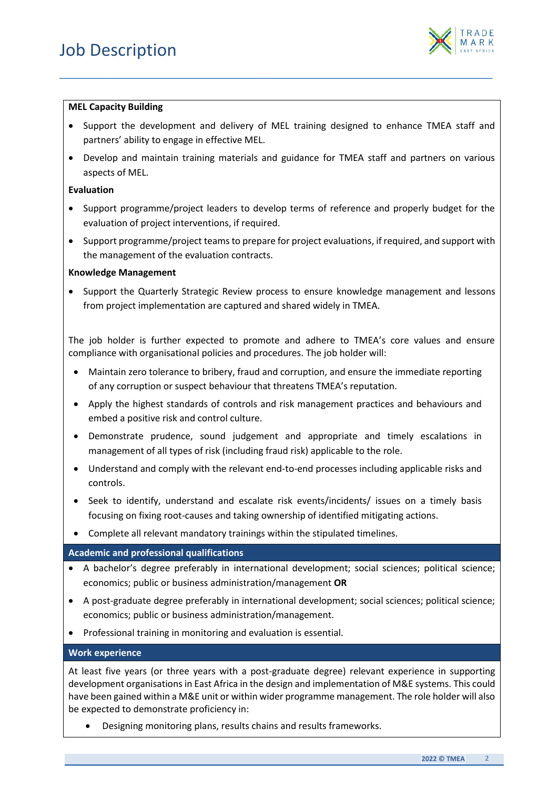

#### **MEL Capacity Building**

• Support the development and delivery of MEL training designed to enhance TMEA staff and partners' ability to engage in effective MEL.

*\_\_\_\_\_\_\_\_\_\_\_\_\_\_\_\_\_\_\_\_\_\_\_\_\_\_\_\_\_\_\_\_\_\_\_\_\_\_\_\_\_\_\_\_\_\_\_\_\_\_\_\_\_\_\_\_\_\_\_\_\_\_\_\_\_\_\_\_\_\_\_\_\_\_\_\_\_\_\_\_\_\_\_\_\_\_\_\_\_\_\_\_\_\_\_\_\_\_\_\_\_\_\_\_\_\_\_\_\_\_\_\_\_\_\_\_*

• Develop and maintain training materials and guidance for TMEA staff and partners on various aspects of MEL.

#### **Evaluation**

- Support programme/project leaders to develop terms of reference and properly budget for the evaluation of project interventions, if required.
- Support programme/project teams to prepare for project evaluations, if required, and support with the management of the evaluation contracts.

#### **Knowledge Management**

• Support the Quarterly Strategic Review process to ensure knowledge management and lessons from project implementation are captured and shared widely in TMEA.

The job holder is further expected to promote and adhere to TMEA's core values and ensure compliance with organisational policies and procedures. The job holder will:

- Maintain zero tolerance to bribery, fraud and corruption, and ensure the immediate reporting of any corruption or suspect behaviour that threatens TMEA's reputation.
- Apply the highest standards of controls and risk management practices and behaviours and embed a positive risk and control culture.
- Demonstrate prudence, sound judgement and appropriate and timely escalations in management of all types of risk (including fraud risk) applicable to the role.
- Understand and comply with the relevant end-to-end processes including applicable risks and controls.
- Seek to identify, understand and escalate risk events/incidents/ issues on a timely basis focusing on fixing root-causes and taking ownership of identified mitigating actions.
- Complete all relevant mandatory trainings within the stipulated timelines.

## **Academic and professional qualifications**

- A bachelor's degree preferably in international development; social sciences; political science; economics; public or business administration/management **OR**
- A post-graduate degree preferably in international development; social sciences; political science; economics; public or business administration/management.
- Professional training in monitoring and evaluation is essential.

# **Work experience**

At least five years (or three years with a post-graduate degree) relevant experience in supporting development organisations in East Africa in the design and implementation of M&E systems. This could have been gained within a M&E unit or within wider programme management. The role holder will also be expected to demonstrate proficiency in:

• Designing monitoring plans, results chains and results frameworks.